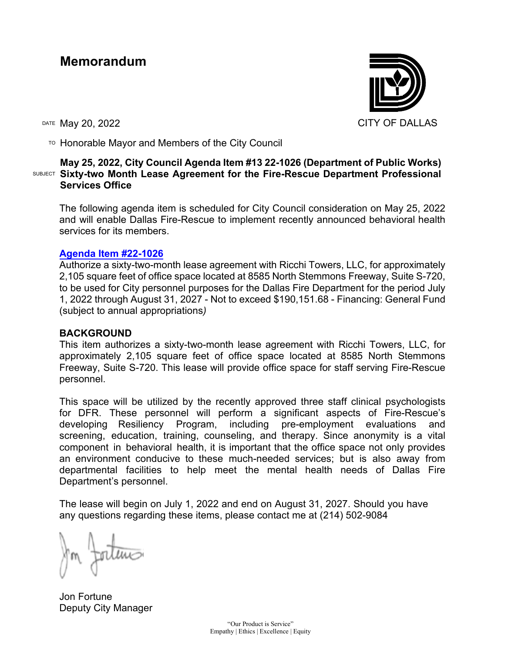# **Memorandum**

DATE May 20, 2022 CITY OF DALLAS

 $T$ <sup>O</sup> Honorable Mayor and Members of the City Council

## SUBJECT **Sixty-two Month Lease Agreement for the Fire-Rescue Department Professional May 25, 2022, City Council Agenda Item #13 22-1026 (Department of Public Works) Services Office**

The following agenda item is scheduled for City Council consideration on May 25, 2022 and will enable Dallas Fire-Rescue to implement recently announced behavioral health services for its members.

### **[Agenda Item #22-1026](https://cityofdallas.legistar.com/LegislationDetail.aspx?ID=5367885&GUID=C22A1447-8B36-4F81-9A3C-103A58248583)**

Authorize a sixty-two-month lease agreement with Ricchi Towers, LLC, for approximately 2,105 square feet of office space located at 8585 North Stemmons Freeway, Suite S-720, to be used for City personnel purposes for the Dallas Fire Department for the period July 1, 2022 through August 31, 2027 - Not to exceed \$190,151.68 - Financing: General Fund (subject to annual appropriations*)*

### **BACKGROUND**

This item authorizes a sixty-two-month lease agreement with Ricchi Towers, LLC, for approximately 2,105 square feet of office space located at 8585 North Stemmons Freeway, Suite S-720. This lease will provide office space for staff serving Fire-Rescue personnel.

This space will be utilized by the recently approved three staff clinical psychologists for DFR. These personnel will perform a significant aspects of Fire-Rescue's developing Resiliency Program, including pre-employment evaluations and screening, education, training, counseling, and therapy. Since anonymity is a vital component in behavioral health, it is important that the office space not only provides an environment conducive to these much-needed services; but is also away from departmental facilities to help meet the mental health needs of Dallas Fire Department's personnel.

The lease will begin on July 1, 2022 and end on August 31, 2027. Should you have any questions regarding these items, please contact me at (214) 502-9084

Jon Fortune Deputy City Manager